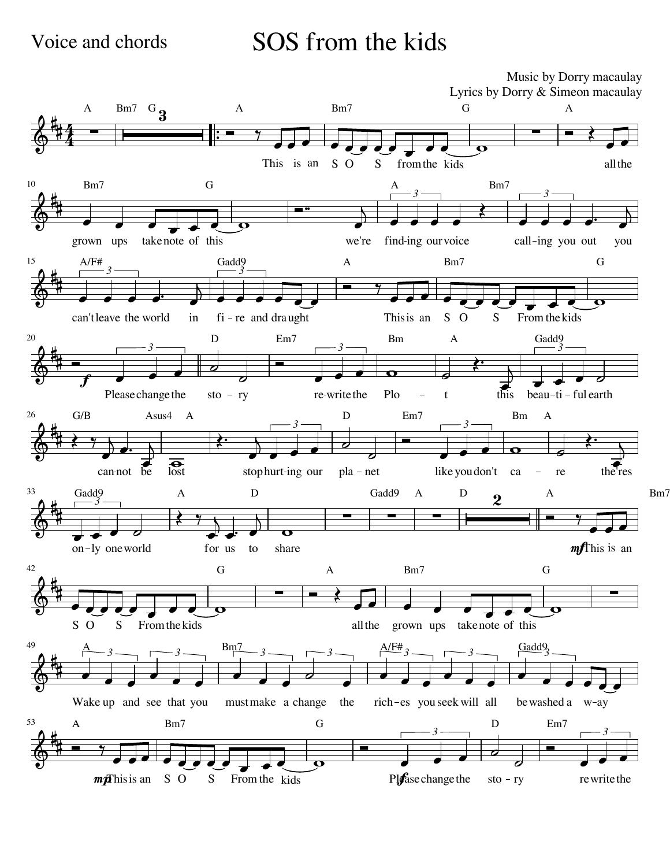## Voice and chords SOS from the kids SOS from the kids